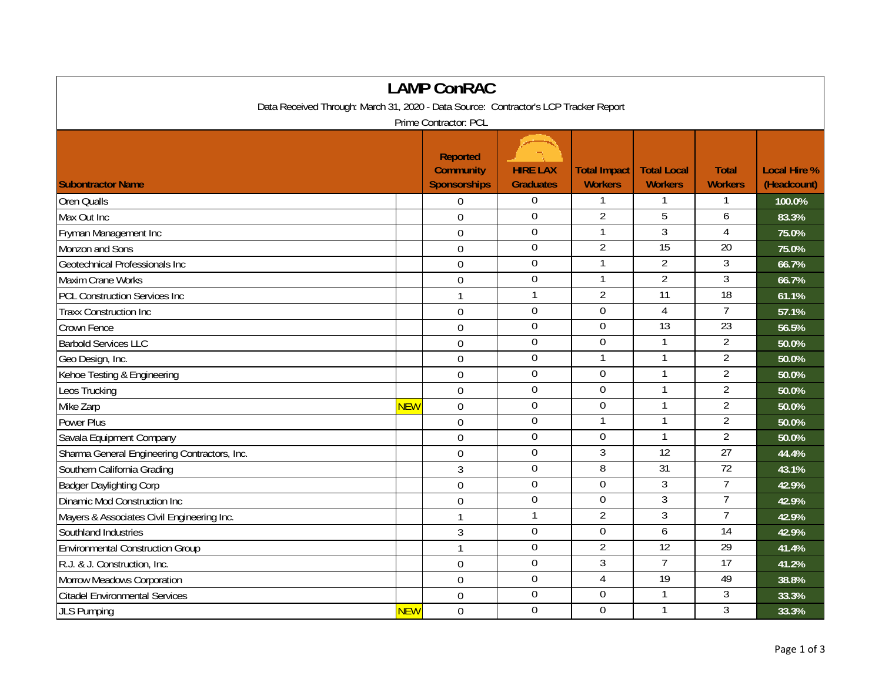| <b>LAMP ConRAC</b>                                                                   |            |                                                            |                                     |                                |                                      |                                |                                    |  |
|--------------------------------------------------------------------------------------|------------|------------------------------------------------------------|-------------------------------------|--------------------------------|--------------------------------------|--------------------------------|------------------------------------|--|
| Data Received Through: March 31, 2020 - Data Source: Contractor's LCP Tracker Report |            |                                                            |                                     |                                |                                      |                                |                                    |  |
| Prime Contractor: PCL                                                                |            |                                                            |                                     |                                |                                      |                                |                                    |  |
| <b>Subontractor Name</b>                                                             |            | <b>Reported</b><br><b>Community</b><br><b>Sponsorships</b> | <b>HIRE LAX</b><br><b>Graduates</b> | <b>Total Impact</b><br>Workers | <b>Total Local</b><br><b>Workers</b> | <b>Total</b><br><b>Workers</b> | <b>Local Hire %</b><br>(Headcount) |  |
| <b>Oren Qualls</b>                                                                   |            | 0                                                          | $\overline{0}$                      |                                |                                      |                                | 100.0%                             |  |
| Max Out Inc                                                                          |            | 0                                                          | $\overline{0}$                      | $\overline{2}$                 | 5                                    | 6                              | 83.3%                              |  |
| Fryman Management Inc                                                                |            | $\mathbf 0$                                                | $\overline{0}$                      | $\mathbf{1}$                   | 3                                    | $\overline{4}$                 | 75.0%                              |  |
| Monzon and Sons                                                                      |            | $\overline{0}$                                             | $\mathbf 0$                         | $\overline{2}$                 | $\overline{15}$                      | $\overline{20}$                | 75.0%                              |  |
| Geotechnical Professionals Inc                                                       |            | $\mathbf 0$                                                | $\mathbf 0$                         |                                | $\overline{2}$                       | $\mathfrak{Z}$                 | 66.7%                              |  |
| Maxim Crane Works                                                                    |            | $\overline{0}$                                             | $\overline{0}$                      |                                | $\overline{2}$                       | $\overline{3}$                 | 66.7%                              |  |
| <b>PCL Construction Services Inc</b>                                                 |            | $\mathbf{1}$                                               | $\mathbf{1}$                        | $\overline{2}$                 | $\overline{11}$                      | 18                             | 61.1%                              |  |
| <b>Traxx Construction Inc</b>                                                        |            | $\mathbf 0$                                                | $\boldsymbol{0}$                    | $\mathbf 0$                    | $\overline{4}$                       | $\overline{7}$                 | 57.1%                              |  |
| Crown Fence                                                                          |            | $\mathbf 0$                                                | $\mathbf 0$                         | $\mathbf 0$                    | $\overline{13}$                      | $\overline{23}$                | 56.5%                              |  |
| <b>Barbold Services LLC</b>                                                          |            | $\overline{0}$                                             | $\mathbf 0$                         | $\mathbf 0$                    | $\mathbf{1}$                         | $\overline{2}$                 | 50.0%                              |  |
| Geo Design, Inc.                                                                     |            | $\overline{0}$                                             | $\overline{0}$                      | 1                              | 1                                    | $\overline{2}$                 | 50.0%                              |  |
| Kehoe Testing & Engineering                                                          |            | $\mathbf 0$                                                | $\boldsymbol{0}$                    | $\boldsymbol{0}$               | 1                                    | $\overline{2}$                 | 50.0%                              |  |
| Leos Trucking                                                                        |            | $\mathbf 0$                                                | $\mathbf 0$                         | $\mathbf 0$                    |                                      | $\overline{2}$                 | 50.0%                              |  |
| Mike Zarp                                                                            | <b>NEW</b> | $\mathbf 0$                                                | $\mathbf 0$                         | $\mathbf 0$                    | $\mathbf{1}$                         | $\overline{2}$                 | 50.0%                              |  |
| Power Plus                                                                           |            | $\overline{0}$                                             | $\mathbf 0$                         | 1                              |                                      | $\overline{2}$                 | 50.0%                              |  |
| Savala Equipment Company                                                             |            | $\mathbf 0$                                                | $\mathbf 0$                         | $\overline{0}$                 | $\mathbf{1}$                         | $\overline{2}$                 | 50.0%                              |  |
| Sharma General Engineering Contractors, Inc.                                         |            | $\mathbf 0$                                                | $\overline{0}$                      | 3                              | $\overline{12}$                      | 27                             | 44.4%                              |  |
| Southern California Grading                                                          |            | $\mathfrak{Z}$                                             | $\mathbf 0$                         | 8                              | $\overline{31}$                      | $\overline{72}$                | 43.1%                              |  |
| <b>Badger Daylighting Corp</b>                                                       |            | $\mathbf 0$                                                | $\overline{0}$                      | $\overline{0}$                 | $\overline{3}$                       | $\overline{7}$                 | 42.9%                              |  |
| Dinamic Mod Construction Inc                                                         |            | $\mathbf 0$                                                | $\overline{0}$                      | $\overline{0}$                 | $\mathfrak{Z}$                       | $\overline{7}$                 | 42.9%                              |  |
| Mayers & Associates Civil Engineering Inc.                                           |            | $\mathbf{1}$                                               | $\mathbf{1}$                        | $\overline{2}$                 | 3                                    | $\overline{7}$                 | 42.9%                              |  |
| Southland Industries                                                                 |            | 3                                                          | $\mathbf 0$                         | $\mathbf 0$                    | 6                                    | $\overline{14}$                | 42.9%                              |  |
| <b>Environmental Construction Group</b>                                              |            | $\mathbf{1}$                                               | $\mathbf 0$                         | $\overline{2}$                 | 12                                   | 29                             | 41.4%                              |  |
| R.J. & J. Construction, Inc.                                                         |            | $\Omega$                                                   | $\mathbf 0$                         | $\overline{3}$                 | $\overline{7}$                       | 17                             | 41.2%                              |  |
| Morrow Meadows Corporation                                                           |            | $\mathbf 0$                                                | $\mathbf 0$                         | $\overline{4}$                 | 19                                   | 49                             | 38.8%                              |  |
| <b>Citadel Environmental Services</b>                                                |            | $\mathbf 0$                                                | $\boldsymbol{0}$                    | $\boldsymbol{0}$               | $\mathbf{1}$                         | $\mathfrak{Z}$                 | 33.3%                              |  |
| JLS Pumping                                                                          | <b>NEW</b> | $\mathbf 0$                                                | $\mathbf 0$                         | $\overline{0}$                 | 1                                    | 3                              | 33.3%                              |  |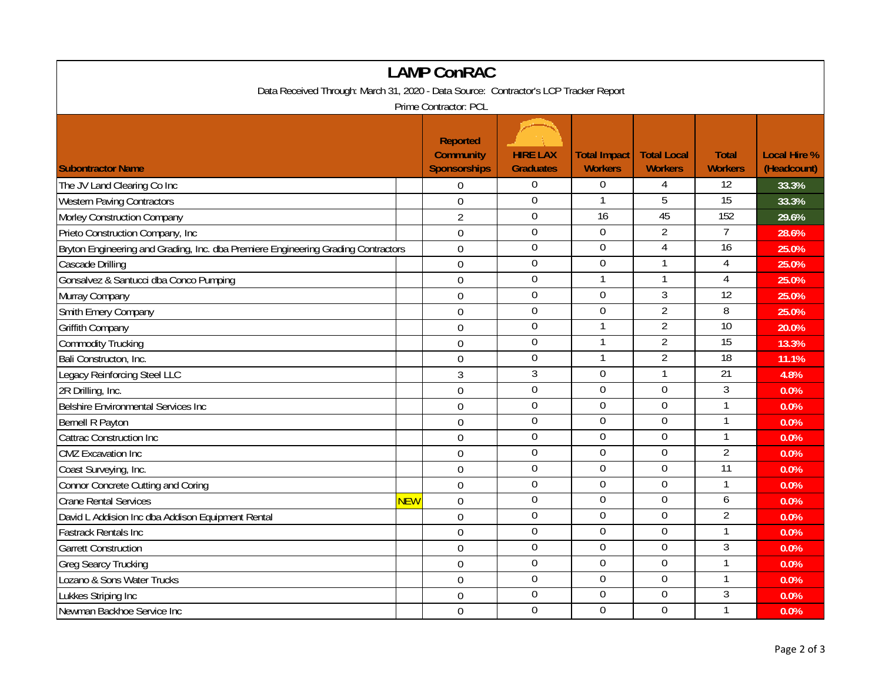| <b>LAMP ConRAC</b>                                                                   |            |                                                            |                                     |                                       |                                      |                                |                                    |  |
|--------------------------------------------------------------------------------------|------------|------------------------------------------------------------|-------------------------------------|---------------------------------------|--------------------------------------|--------------------------------|------------------------------------|--|
| Data Received Through: March 31, 2020 - Data Source: Contractor's LCP Tracker Report |            |                                                            |                                     |                                       |                                      |                                |                                    |  |
| Prime Contractor: PCL                                                                |            |                                                            |                                     |                                       |                                      |                                |                                    |  |
| <b>Subontractor Name</b>                                                             |            | <b>Reported</b><br><b>Community</b><br><b>Sponsorships</b> | <b>HIRE LAX</b><br><b>Graduates</b> | <b>Total Impact</b><br><b>Workers</b> | <b>Total Local</b><br><b>Workers</b> | <b>Total</b><br><b>Workers</b> | <b>Local Hire %</b><br>(Headcount) |  |
| The JV Land Clearing Co Inc                                                          |            | $\mathbf 0$                                                | $\Omega$                            | $\mathbf 0$                           | 4                                    | 12                             | 33.3%                              |  |
| <b>Western Paving Contractors</b>                                                    |            | $\overline{0}$                                             | $\mathbf{0}$                        | $\mathbf{1}$                          | $\overline{5}$                       | 15                             | 33.3%                              |  |
| Morley Construction Company                                                          |            | $\overline{2}$                                             | $\overline{0}$                      | 16                                    | 45                                   | 152                            | 29.6%                              |  |
| Prieto Construction Company, Inc.                                                    |            | $\mathbf{0}$                                               | $\mathbf 0$                         | $\mathbf 0$                           | $\overline{2}$                       | $\overline{7}$                 | 28.6%                              |  |
| Bryton Engineering and Grading, Inc. dba Premiere Engineering Grading Contractors    |            | $\mathbf 0$                                                | $\boldsymbol{0}$                    | $\mathbf 0$                           | $\overline{4}$                       | 16                             | 25.0%                              |  |
| Cascade Drilling                                                                     |            | $\boldsymbol{0}$                                           | $\overline{0}$                      | 0                                     | $\mathbf{1}$                         | 4                              | 25.0%                              |  |
| Gonsalvez & Santucci dba Conco Pumping                                               |            | $\overline{0}$                                             | $\boldsymbol{0}$                    | $\mathbf{1}$                          | 1                                    | 4                              | 25.0%                              |  |
| Murray Company                                                                       |            | $\mathbf 0$                                                | $\overline{0}$                      | $\overline{0}$                        | 3                                    | $\overline{12}$                | 25.0%                              |  |
| Smith Emery Company                                                                  |            | $\overline{0}$                                             | $\mathbf 0$                         | $\mathbf 0$                           | $\overline{2}$                       | 8                              | 25.0%                              |  |
| <b>Griffith Company</b>                                                              |            | $\overline{0}$                                             | $\boldsymbol{0}$                    | $\mathbf{1}$                          | $\overline{2}$                       | $\overline{10}$                | 20.0%                              |  |
| <b>Commodity Trucking</b>                                                            |            | $\mathbf 0$                                                | $\boldsymbol{0}$                    | $\mathbf{1}$                          | $\overline{2}$                       | $\overline{15}$                | 13.3%                              |  |
| Bali Constructon, Inc.                                                               |            | $\overline{0}$                                             | $\mathbf 0$                         | $\mathbf{1}$                          | $\overline{2}$                       | 18                             | 11.1%                              |  |
| Legacy Reinforcing Steel LLC                                                         |            | 3                                                          | 3                                   | $\mathbf 0$                           | $\mathbf{1}$                         | $\overline{21}$                | 4.8%                               |  |
| 2R Drilling, Inc.                                                                    |            | $\mathbf 0$                                                | $\mathbf 0$                         | $\mathbf 0$                           | $\mathbf 0$                          | 3                              | 0.0%                               |  |
| Belshire Environmental Services Inc                                                  |            | $\mathbf 0$                                                | $\boldsymbol{0}$                    | $\boldsymbol{0}$                      | $\boldsymbol{0}$                     | 1                              | 0.0%                               |  |
| Bernell R Payton                                                                     |            | $\mathbf 0$                                                | $\boldsymbol{0}$                    | $\mathbf 0$                           | $\mathbf 0$                          | 1                              | 0.0%                               |  |
| Cattrac Construction Inc                                                             |            | $\mathbf 0$                                                | $\boldsymbol{0}$                    | 0                                     | $\boldsymbol{0}$                     | $\mathbf{1}$                   | 0.0%                               |  |
| <b>CMZ</b> Excavation Inc                                                            |            | $\mathbf{0}$                                               | $\mathbf 0$                         | $\mathbf 0$                           | $\mathbf 0$                          | $\overline{2}$                 | 0.0%                               |  |
| Coast Surveying, Inc.                                                                |            | 0                                                          | $\mathbf 0$                         | $\mathbf 0$                           | $\mathbf 0$                          | 11                             | 0.0%                               |  |
| Connor Concrete Cutting and Coring                                                   |            | $\overline{0}$                                             | $\overline{0}$                      | $\overline{0}$                        | $\overline{0}$                       | 1                              | 0.0%                               |  |
| <b>Crane Rental Services</b>                                                         | <b>NEW</b> | $\overline{0}$                                             | $\mathbf 0$                         | $\overline{0}$                        | $\overline{0}$                       | 6                              | 0.0%                               |  |
| David L Addision Inc dba Addison Equipment Rental                                    |            | $\mathbf 0$                                                | $\mathbf 0$                         | $\mathbf 0$                           | $\mathbf 0$                          | $\overline{2}$                 | 0.0%                               |  |
| <b>Fastrack Rentals Inc</b>                                                          |            | $\overline{0}$                                             | $\mathbf 0$                         | $\mathbf 0$                           | $\mathbf 0$                          | $\overline{1}$                 | 0.0%                               |  |
| <b>Garrett Construction</b>                                                          |            | $\mathbf 0$                                                | $\mathbf 0$                         | $\mathbf 0$                           | $\mathbf 0$                          | 3                              | 0.0%                               |  |
| <b>Greg Searcy Trucking</b>                                                          |            | $\mathbf 0$                                                | $\mathbf 0$                         | $\mathbf 0$                           | $\mathbf 0$                          | $\mathbf{1}$                   | 0.0%                               |  |
| Lozano & Sons Water Trucks                                                           |            | $\overline{0}$                                             | $\boldsymbol{0}$                    | $\boldsymbol{0}$                      | $\boldsymbol{0}$                     | 1                              | 0.0%                               |  |
| Lukkes Striping Inc                                                                  |            | $\overline{0}$                                             | $\mathbf 0$                         | $\mathbf 0$                           | $\mathbf 0$                          | 3                              | 0.0%                               |  |
| Newman Backhoe Service Inc                                                           |            | $\mathbf 0$                                                | $\overline{0}$                      | $\overline{0}$                        | $\overline{0}$                       | $\mathbf{1}$                   | 0.0%                               |  |